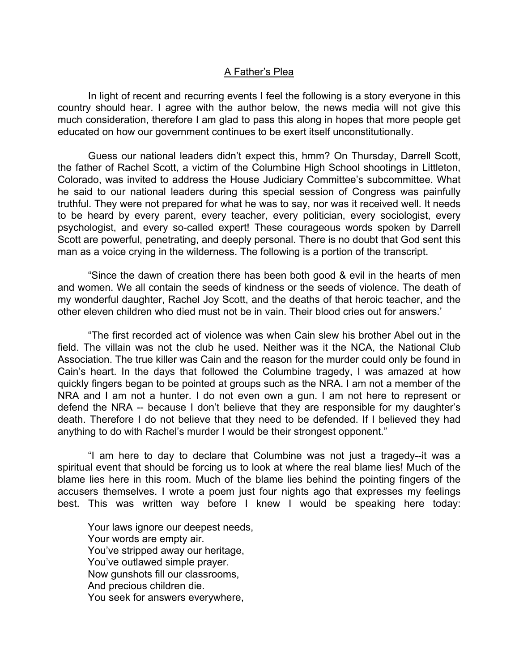## A Father's Plea

 In light of recent and recurring events I feel the following is a story everyone in this country should hear. I agree with the author below, the news media will not give this much consideration, therefore I am glad to pass this along in hopes that more people get educated on how our government continues to be exert itself unconstitutionally.

 Guess our national leaders didn't expect this, hmm? On Thursday, Darrell Scott, the father of Rachel Scott, a victim of the Columbine High School shootings in Littleton, Colorado, was invited to address the House Judiciary Committee's subcommittee. What he said to our national leaders during this special session of Congress was painfully truthful. They were not prepared for what he was to say, nor was it received well. It needs to be heard by every parent, every teacher, every politician, every sociologist, every psychologist, and every so-called expert! These courageous words spoken by Darrell Scott are powerful, penetrating, and deeply personal. There is no doubt that God sent this man as a voice crying in the wilderness. The following is a portion of the transcript.

 "Since the dawn of creation there has been both good & evil in the hearts of men and women. We all contain the seeds of kindness or the seeds of violence. The death of my wonderful daughter, Rachel Joy Scott, and the deaths of that heroic teacher, and the other eleven children who died must not be in vain. Their blood cries out for answers.'

 "The first recorded act of violence was when Cain slew his brother Abel out in the field. The villain was not the club he used. Neither was it the NCA, the National Club Association. The true killer was Cain and the reason for the murder could only be found in Cain's heart. In the days that followed the Columbine tragedy, I was amazed at how quickly fingers began to be pointed at groups such as the NRA. I am not a member of the NRA and I am not a hunter. I do not even own a gun. I am not here to represent or defend the NRA -- because I don't believe that they are responsible for my daughter's death. Therefore I do not believe that they need to be defended. If I believed they had anything to do with Rachel's murder I would be their strongest opponent."

 "I am here to day to declare that Columbine was not just a tragedy--it was a spiritual event that should be forcing us to look at where the real blame lies! Much of the blame lies here in this room. Much of the blame lies behind the pointing fingers of the accusers themselves. I wrote a poem just four nights ago that expresses my feelings best. This was written way before I knew I would be speaking here today:

Your laws ignore our deepest needs, Your words are empty air. You've stripped away our heritage, You've outlawed simple prayer. Now gunshots fill our classrooms, And precious children die. You seek for answers everywhere,